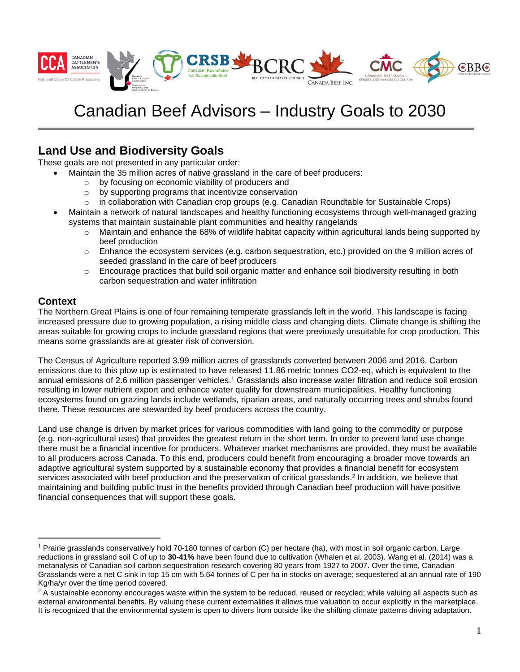

# Canadian Beef Advisors – Industry Goals to 2030

## **Land Use and Biodiversity Goals**

These goals are not presented in any particular order:

- Maintain the 35 million acres of native grassland in the care of beef producers:
	- o by focusing on economic viability of producers and
	- o by supporting programs that incentivize conservation
	- $\circ$  in collaboration with Canadian crop groups (e.g. Canadian Roundtable for Sustainable Crops)
- Maintain a network of natural landscapes and healthy functioning ecosystems through well-managed grazing systems that maintain sustainable plant communities and healthy rangelands
	- $\circ$  Maintain and enhance the 68% of wildlife habitat capacity within agricultural lands being supported by beef production
	- o Enhance the ecosystem services (e.g. carbon sequestration, etc.) provided on the 9 million acres of seeded grassland in the care of beef producers
	- $\circ$  Encourage practices that build soil organic matter and enhance soil biodiversity resulting in both carbon sequestration and water infiltration

## **Context**

The Northern Great Plains is one of four remaining temperate grasslands left in the world. This landscape is facing increased pressure due to growing population, a rising middle class and changing diets. Climate change is shifting the areas suitable for growing crops to include grassland regions that were previously unsuitable for crop production. This means some grasslands are at greater risk of conversion.

The Census of Agriculture reported 3.99 million acres of grasslands converted between 2006 and 2016. Carbon emissions due to this plow up is estimated to have released 11.86 metric tonnes CO2-eq, which is equivalent to the annual emissions of 2.6 million passenger vehicles. <sup>1</sup> Grasslands also increase water filtration and reduce soil erosion resulting in lower nutrient export and enhance water quality for downstream municipalities. Healthy functioning ecosystems found on grazing lands include wetlands, riparian areas, and naturally occurring trees and shrubs found there. These resources are stewarded by beef producers across the country.

Land use change is driven by market prices for various commodities with land going to the commodity or purpose (e.g. non-agricultural uses) that provides the greatest return in the short term. In order to prevent land use change there must be a financial incentive for producers. Whatever market mechanisms are provided, they must be available to all producers across Canada. To this end, producers could benefit from encouraging a broader move towards an adaptive agricultural system supported by a sustainable economy that provides a financial benefit for ecosystem services associated with beef production and the preservation of critical grasslands.<sup>2</sup> In addition, we believe that maintaining and building public trust in the benefits provided through Canadian beef production will have positive financial consequences that will support these goals.

<sup>&</sup>lt;sup>1</sup> Prairie grasslands conservatively hold 70-180 tonnes of carbon (C) per hectare (ha), with most in soil organic carbon. Large reductions in grassland soil C of up to **30-41%** have been found due to cultivation (Whalen et al. 2003). Wang et al. (2014) was a metanalysis of Canadian soil carbon sequestration research covering 80 years from 1927 to 2007. Over the time, Canadian Grasslands were a net C sink in top 15 cm with 5.64 tonnes of C per ha in stocks on average; sequestered at an annual rate of 190 Kg/ha/yr over the time period covered.

 $2\text{ A}$  sustainable economy encourages waste within the system to be reduced, reused or recycled; while valuing all aspects such as external environmental benefits. By valuing these current externalities it allows true valuation to occur explicitly in the marketplace. It is recognized that the environmental system is open to drivers from outside like the shifting climate patterns driving adaptation.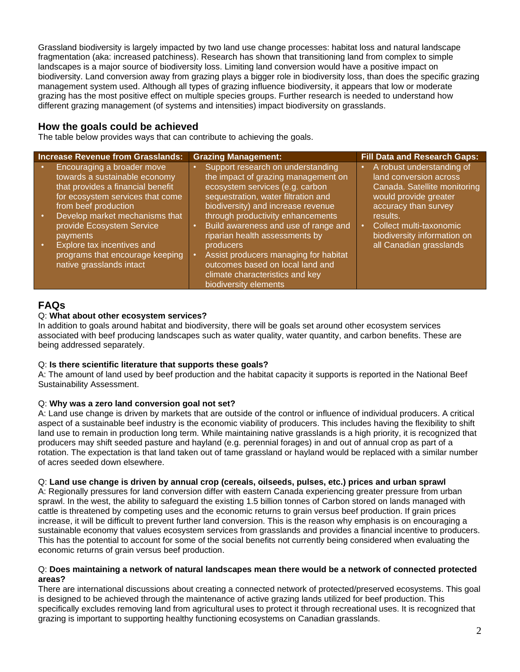Grassland biodiversity is largely impacted by two land use change processes: habitat loss and natural landscape fragmentation (aka: increased patchiness). Research has shown that transitioning land from complex to simple landscapes is a major source of biodiversity loss. Limiting land conversion would have a positive impact on biodiversity. Land conversion away from grazing plays a bigger role in biodiversity loss, than does the specific grazing management system used. Although all types of grazing influence biodiversity, it appears that low or moderate grazing has the most positive effect on multiple species groups. Further research is needed to understand how different grazing management (of systems and intensities) impact biodiversity on grasslands.

## **How the goals could be achieved**

The table below provides ways that can contribute to achieving the goals.

| <b>Increase Revenue from Grasslands:</b>                                                                                                                     | <b>Grazing Management:</b>                                                                                                                                                                    | <b>Fill Data and Research Gaps:</b>                                                                                                               |
|--------------------------------------------------------------------------------------------------------------------------------------------------------------|-----------------------------------------------------------------------------------------------------------------------------------------------------------------------------------------------|---------------------------------------------------------------------------------------------------------------------------------------------------|
| Encouraging a broader move<br>towards a sustainable economy<br>that provides a financial benefit<br>for ecosystem services that come<br>from beef production | Support research on understanding<br>٠<br>the impact of grazing management on<br>ecosystem services (e.g. carbon<br>sequestration, water filtration and<br>biodiversity) and increase revenue | A robust understanding of<br>$\bullet$<br>land conversion across<br>Canada. Satellite monitoring<br>would provide greater<br>accuracy than survey |
| Develop market mechanisms that<br>provide Ecosystem Service<br>payments                                                                                      | through productivity enhancements<br>Build awareness and use of range and<br>٠<br>riparian health assessments by                                                                              | results.<br>Collect multi-taxonomic<br>$\bullet$<br>biodiversity information on                                                                   |
| <b>Explore tax incentives and</b><br>programs that encourage keeping<br>native grasslands intact                                                             | producers<br>Assist producers managing for habitat<br>$\bullet$<br>outcomes based on local land and<br>climate characteristics and key<br>biodiversity elements                               | all Canadian grasslands                                                                                                                           |

## **FAQs**

#### Q: **What about other ecosystem services?**

In addition to goals around habitat and biodiversity, there will be goals set around other ecosystem services associated with beef producing landscapes such as water quality, water quantity, and carbon benefits. These are being addressed separately.

## Q: **Is there scientific literature that supports these goals?**

A: The amount of land used by beef production and the habitat capacity it supports is reported in the National Beef Sustainability Assessment.

## Q: **Why was a zero land conversion goal not set?**

A: Land use change is driven by markets that are outside of the control or influence of individual producers. A critical aspect of a sustainable beef industry is the economic viability of producers. This includes having the flexibility to shift land use to remain in production long term. While maintaining native grasslands is a high priority, it is recognized that producers may shift seeded pasture and hayland (e.g. perennial forages) in and out of annual crop as part of a rotation. The expectation is that land taken out of tame grassland or hayland would be replaced with a similar number of acres seeded down elsewhere.

#### Q: **Land use change is driven by annual crop (cereals, oilseeds, pulses, etc.) prices and urban sprawl**

A: Regionally pressures for land conversion differ with eastern Canada experiencing greater pressure from urban sprawl. In the west, the ability to safeguard the existing 1.5 billion tonnes of Carbon stored on lands managed with cattle is threatened by competing uses and the economic returns to grain versus beef production. If grain prices increase, it will be difficult to prevent further land conversion. This is the reason why emphasis is on encouraging a sustainable economy that values ecosystem services from grasslands and provides a financial incentive to producers. This has the potential to account for some of the social benefits not currently being considered when evaluating the economic returns of grain versus beef production.

#### Q: **Does maintaining a network of natural landscapes mean there would be a network of connected protected areas?**

There are international discussions about creating a connected network of protected/preserved ecosystems. This goal is designed to be achieved through the maintenance of active grazing lands utilized for beef production. This specifically excludes removing land from agricultural uses to protect it through recreational uses. It is recognized that grazing is important to supporting healthy functioning ecosystems on Canadian grasslands.